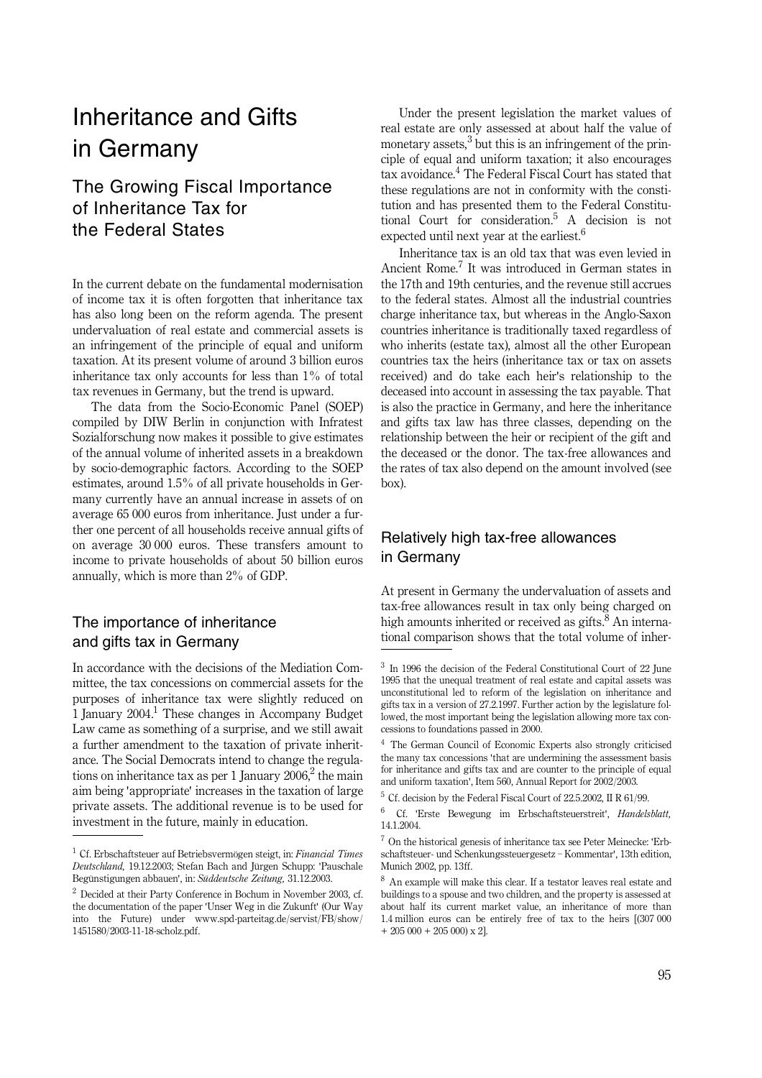# Inheritance and Gifts in Germany

## The Growing Fiscal Importance of Inheritance Tax for the Federal States

In the current debate on the fundamental modernisation of income tax it is often forgotten that inheritance tax has also long been on the reform agenda. The present undervaluation of real estate and commercial assets is an infringement of the principle of equal and uniform taxation. At its present volume of around 3 billion euros inheritance tax only accounts for less than 1% of total tax revenues in Germany, but the trend is upward.

The data from the Socio-Economic Panel (SOEP) compiled by DIW Berlin in conjunction with Infratest Sozialforschung now makes it possible to give estimates of the annual volume of inherited assets in a breakdown by socio-demographic factors. According to the SOEP estimates, around 1.5% of all private households in Germany currently have an annual increase in assets of on average 65 000 euros from inheritance. Just under a further one percent of all households receive annual gifts of on average 30 000 euros. These transfers amount to income to private households of about 50 billion euros annually, which is more than 2% of GDP.

### The importance of inheritance and gifts tax in Germany

In accordance with the decisions of the Mediation Committee, the tax concessions on commercial assets for the purposes of inheritance tax were slightly reduced on 1 January 2004.<sup>1</sup> These changes in Accompany Budget Law came as something of a surprise, and we still await a further amendment to the taxation of private inheritance. The Social Democrats intend to change the regulations on inheritance tax as per 1 January 2006,<sup>2</sup> the main aim being 'appropriate' increases in the taxation of large private assets. The additional revenue is to be used for investment in the future, mainly in education.

Under the present legislation the market values of real estate are only assessed at about half the value of monetary assets, $3$  but this is an infringement of the principle of equal and uniform taxation; it also encourages tax avoidance.<sup>4</sup> The Federal Fiscal Court has stated that these regulations are not in conformity with the constitution and has presented them to the Federal Constitutional Court for consideration.<sup>5</sup> A decision is not expected until next year at the earliest.<sup>6</sup>

Inheritance tax is an old tax that was even levied in Ancient Rome.<sup>7</sup> It was introduced in German states in the 17th and 19th centuries, and the revenue still accrues to the federal states. Almost all the industrial countries charge inheritance tax, but whereas in the Anglo-Saxon countries inheritance is traditionally taxed regardless of who inherits (estate tax), almost all the other European countries tax the heirs (inheritance tax or tax on assets received) and do take each heir's relationship to the deceased into account in assessing the tax payable. That is also the practice in Germany, and here the inheritance and gifts tax law has three classes, depending on the relationship between the heir or recipient of the gift and the deceased or the donor. The tax-free allowances and the rates of tax also depend on the amount involved (see box).

## Relatively high tax-free allowances in Germany

At present in Germany the undervaluation of assets and tax-free allowances result in tax only being charged on high amounts inherited or received as gifts. $\frac{8}{3}$  An international comparison shows that the total volume of inher-

6 Cf. 'Erste Bewegung im Erbschaftsteuerstreit', *Handelsblatt,* 14.1.2004.

<sup>1</sup> Cf. Erbschaftsteuer auf Betriebsvermögen steigt, in: *Financial Times Deutschland,* 19.12.2003; Stefan Bach and Jürgen Schupp: 'Pauschale Begünstigungen abbauen', in: *Süddeutsche Zeitung,* 31.12.2003.

<sup>2</sup> Decided at their Party Conference in Bochum in November 2003, cf. the documentation of the paper 'Unser Weg in die Zukunft' (Our Way into the Future) under www.spd-parteitag.de/servist/FB/show/ 1451580/2003-11-18-scholz.pdf.

<sup>3</sup> In 1996 the decision of the Federal Constitutional Court of 22 June 1995 that the unequal treatment of real estate and capital assets was unconstitutional led to reform of the legislation on inheritance and gifts tax in a version of 27.2.1997. Further action by the legislature followed, the most important being the legislation allowing more tax concessions to foundations passed in 2000.

<sup>4</sup> The German Council of Economic Experts also strongly criticised the many tax concessions 'that are undermining the assessment basis for inheritance and gifts tax and are counter to the principle of equal and uniform taxation', Item 560, Annual Report for 2002/2003.

<sup>5</sup> Cf. decision by the Federal Fiscal Court of 22.5.2002, II R 61/99.

 $^7$  On the historical genesis of inheritance tax see Peter Meinecke: 'Erbschaftsteuer- und Schenkungssteuergesetz \_ Kommentar', 13th edition, Munich 2002, pp. 13ff.

 $^8\,$  An example will make this clear. If a testator leaves real estate and buildings to a spouse and two children, and the property is assessed at about half its current market value, an inheritance of more than 1.4 million euros can be entirely free of tax to the heirs [(307 000  $+ 205000 + 205000 \times 21$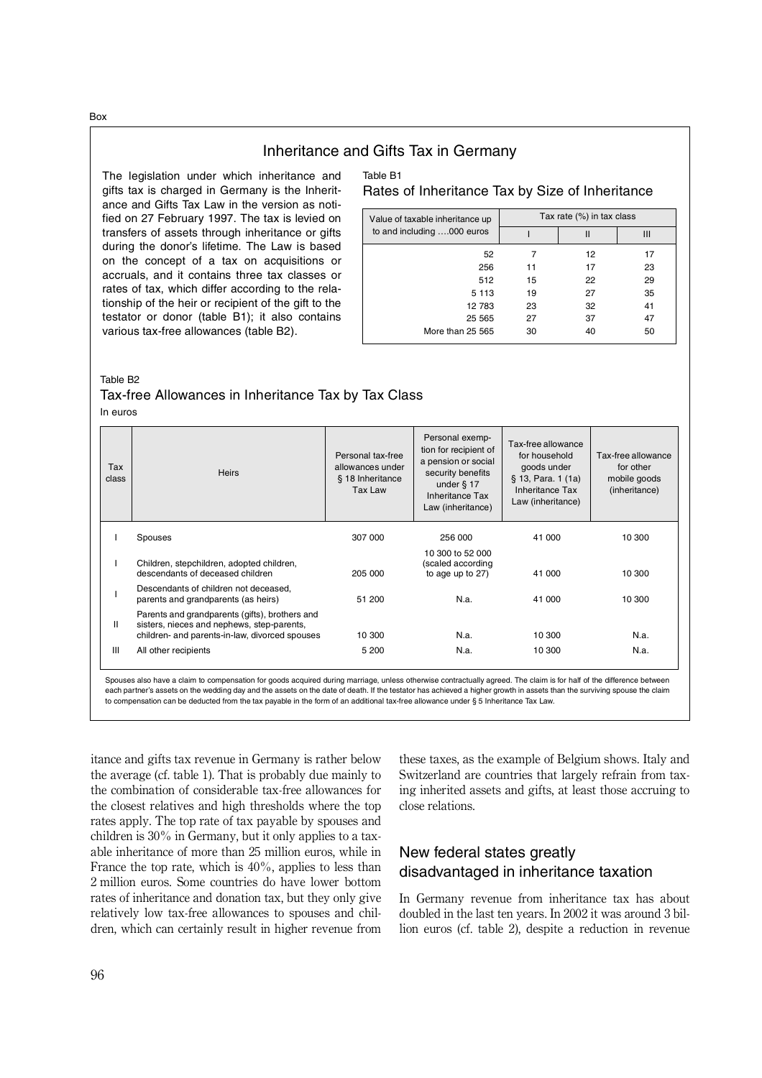Inheritance and Gifts Tax in Germany

The legislation under which inheritance and gifts tax is charged in Germany is the Inheritance and Gifts Tax Law in the version as notified on 27 February 1997. The tax is levied on transfers of assets through inheritance or gifts during the donor's lifetime. The Law is based on the concept of a tax on acquisitions or accruals, and it contains three tax classes or rates of tax, which differ according to the relationship of the heir or recipient of the gift to the testator or donor (table B1); it also contains various tax-free allowances (table B2).

#### Table B1 Rates of Inheritance Tax by Size of Inheritance

| Value of taxable inheritance up | Tax rate (%) in tax class |    |    |  |
|---------------------------------|---------------------------|----|----|--|
| to and including 000 euros      | Ш                         |    | Ш  |  |
| 52                              |                           | 12 | 17 |  |
| 256                             | 11                        | 17 | 23 |  |
| 512                             | 15                        | 22 | 29 |  |
| 5 1 1 3                         | 19                        | 27 | 35 |  |
| 12 783                          | 23                        | 32 | 41 |  |
| 25 5 65                         | 27                        | 37 | 47 |  |
| More than 25 565                | 30                        | 40 | 50 |  |

Table B2

# Tax-free Allowances in Inheritance Tax by Tax Class

In euros

| Tax<br>class | <b>Heirs</b>                                                                                                                                   | Personal tax-free<br>allowances under<br>§ 18 Inheritance<br>Tax Law | Personal exemp-<br>tion for recipient of<br>a pension or social<br>security benefits<br>under $§$ 17<br>Inheritance Tax<br>Law (inheritance) | Tax-free allowance<br>for household<br>goods under<br>§ 13, Para. 1 (1a)<br>Inheritance Tax<br>Law (inheritance) | Tax-free allowance<br>for other<br>mobile goods<br>(inheritance) |
|--------------|------------------------------------------------------------------------------------------------------------------------------------------------|----------------------------------------------------------------------|----------------------------------------------------------------------------------------------------------------------------------------------|------------------------------------------------------------------------------------------------------------------|------------------------------------------------------------------|
|              | Spouses                                                                                                                                        | 307 000                                                              | 256 000                                                                                                                                      | 41 000                                                                                                           | 10 300                                                           |
|              | Children, stepchildren, adopted children,<br>descendants of deceased children                                                                  | 205 000                                                              | 10 300 to 52 000<br>(scaled according<br>to age up to 27)                                                                                    | 41 000                                                                                                           | 10 300                                                           |
|              | Descendants of children not deceased,<br>parents and grandparents (as heirs)                                                                   | 51 200                                                               | N.a.                                                                                                                                         | 41 000                                                                                                           | 10 300                                                           |
| Ш            | Parents and grandparents (gifts), brothers and<br>sisters, nieces and nephews, step-parents,<br>children- and parents-in-law, divorced spouses | 10 300                                                               | N.a.                                                                                                                                         | 10 300                                                                                                           | N.a.                                                             |
| III          | All other recipients                                                                                                                           | 5 200                                                                | N.a.                                                                                                                                         | 10 300                                                                                                           | N.a.                                                             |

Spouses also have a claim to compensation for goods acquired during marriage, unless otherwise contractually agreed. The claim is for half of the difference between each partner's assets on the wedding day and the assets on the date of death. If the testator has achieved a higher growth in assets than the surviving spouse the claim to compensation can be deducted from the tax payable in the form of an additional tax-free allowance under § 5 Inheritance Tax Law.

itance and gifts tax revenue in Germany is rather below the average (cf. table 1). That is probably due mainly to the combination of considerable tax-free allowances for the closest relatives and high thresholds where the top rates apply. The top rate of tax payable by spouses and children is 30% in Germany, but it only applies to a taxable inheritance of more than 25 million euros, while in France the top rate, which is  $40\%$ , applies to less than 2 million euros. Some countries do have lower bottom rates of inheritance and donation tax, but they only give relatively low tax-free allowances to spouses and children, which can certainly result in higher revenue from

these taxes, as the example of Belgium shows. Italy and Switzerland are countries that largely refrain from taxing inherited assets and gifts, at least those accruing to close relations.

## New federal states greatly disadvantaged in inheritance taxation

In Germany revenue from inheritance tax has about doubled in the last ten years. In 2002 it was around 3 billion euros (cf. table 2), despite a reduction in revenue

Box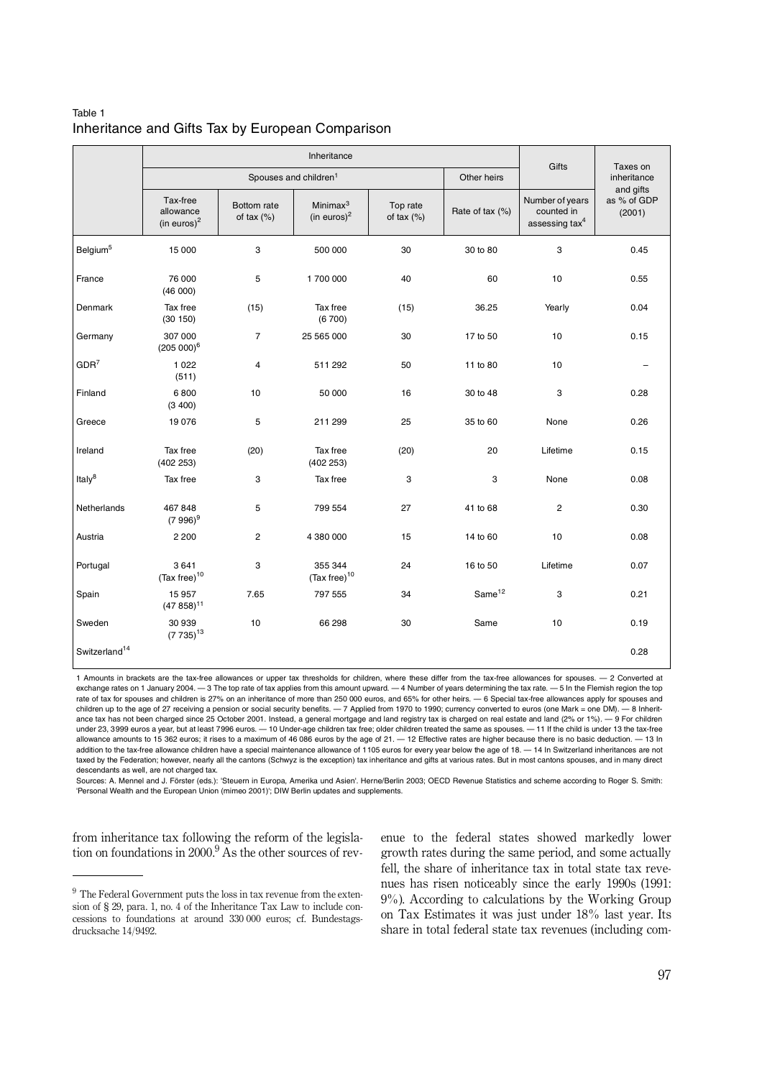#### Table 1 Inheritance and Gifts Tax by European Comparison

|                           |                                         |                             | Gifts                               | Taxes on                 |                    |                                                             |                                    |
|---------------------------|-----------------------------------------|-----------------------------|-------------------------------------|--------------------------|--------------------|-------------------------------------------------------------|------------------------------------|
|                           |                                         |                             | Spouses and children <sup>1</sup>   |                          | Other heirs        |                                                             | inheritance                        |
|                           | Tax-free<br>allowance<br>(in euros) $2$ | Bottom rate<br>of tax $(%)$ | Minimax $3$<br>(in euros) $2$       | Top rate<br>of tax $(%)$ | Rate of tax (%)    | Number of years<br>counted in<br>assessing tax <sup>4</sup> | and gifts<br>as % of GDP<br>(2001) |
| Belgium <sup>5</sup>      | 15 000                                  | 3                           | 500 000                             | 30                       | 30 to 80           | 3                                                           | 0.45                               |
| France                    | 76 000<br>(46 000)                      | 5                           | 1700 000                            | 40                       | 60                 | 10                                                          | 0.55                               |
| Denmark                   | Tax free<br>(30 150)                    | (15)                        | Tax free<br>(6700)                  | (15)                     | 36.25              | Yearly                                                      | 0.04                               |
| Germany                   | 307 000<br>$(205000)^6$                 | $\overline{7}$              | 25 565 000                          | 30                       | 17 to 50           | 10                                                          | 0.15                               |
| GDR <sup>7</sup>          | 1 0 2 2<br>(511)                        | $\overline{4}$              | 511 292                             | 50                       | 11 to 80           | 10                                                          |                                    |
| Finland                   | 6800<br>(3 400)                         | 10                          | 50 000                              | 16                       | 30 to 48           | 3                                                           | 0.28                               |
| Greece                    | 19 0 76                                 | 5                           | 211 299                             | 25                       | 35 to 60           | None                                                        | 0.26                               |
| Ireland                   | Tax free<br>(402 253)                   | (20)                        | Tax free<br>(402 253)               | (20)                     | 20                 | Lifetime                                                    | 0.15                               |
| Italy $8$                 | Tax free                                | 3                           | Tax free                            | 3                        | 3                  | None                                                        | 0.08                               |
| Netherlands               | 467848<br>$(7996)^9$                    | 5                           | 799 554                             | 27                       | 41 to 68           | $\overline{2}$                                              | 0.30                               |
| Austria                   | 2 2 0 0                                 | $\overline{c}$              | 4 380 000                           | 15                       | 14 to 60           | 10                                                          | 0.08                               |
| Portugal                  | 3641<br>(Tax free) $10$                 | 3                           | 355 344<br>(Tax free) <sup>10</sup> | 24                       | 16 to 50           | Lifetime                                                    | 0.07                               |
| Spain                     | 15 957<br>$(47858)^{11}$                | 7.65                        | 797 555                             | 34                       | Same <sup>12</sup> | 3                                                           | 0.21                               |
| Sweden                    | 30 939<br>$(7735)^{13}$                 | 10                          | 66 298                              | 30                       | Same               | 10                                                          | 0.19                               |
| Switzerland <sup>14</sup> |                                         |                             |                                     |                          |                    |                                                             | 0.28                               |

1 Amounts in brackets are the tax-free allowances or upper tax thresholds for children, where these differ from the tax-free allowances for spouses. — 2 Converted at exchange rates on 1 January 2004. - 3 The top rate of tax applies from this amount upward. - 4 Number of years determining the tax rate. - 5 In the Flemish region the top rate of tax for spouses and children is 27% on an inheritance of more than 250 000 euros, and 65% for other heirs. — 6 Special tax-free allowances apply for spouses and children up to the age of 27 receiving a pension or social security benefits. — 7 Applied from 1970 to 1990; currency converted to euros (one Mark = one DM). — 8 Inheritance tax has not been charged since 25 October 2001. Instead, a general mortgage and land registry tax is charged on real estate and land (2% or 1%). — 9 For children under 23, 3999 euros a year, but at least 7996 euros. — 10 Under-age children tax free; older children treated the same as spouses. — 11 If the child is under 13 the tax-free allowance amounts to 15 362 euros; it rises to a maximum of 46 086 euros by the age of 21. — 12 Effective rates are higher because there is no basic deduction. — 13 In addition to the tax-free allowance children have a special maintenance allowance of 1105 euros for every year below the age of 18. — 14 In Switzerland inheritances are not taxed by the Federation; however, nearly all the cantons (Schwyz is the exception) tax inheritance and gifts at various rates. But in most cantons spouses, and in many direct descendants as well, are not charged tax.

Sources: A. Mennel and J. Förster (eds.): 'Steuern in Europa, Amerika und Asien'. Herne/Berlin 2003; OECD Revenue Statistics and scheme according to Roger S. Smith: 'Personal Wealth and the European Union (mimeo 2001)'; DIW Berlin updates and supplements.

from inheritance tax following the reform of the legislation on foundations in 2000.<sup>9</sup> As the other sources of revenue to the federal states showed markedly lower growth rates during the same period, and some actually fell, the share of inheritance tax in total state tax revenues has risen noticeably since the early 1990s (1991: 9%). According to calculations by the Working Group on Tax Estimates it was just under 18% last year. Its share in total federal state tax revenues (including com-

 $9$  The Federal Government puts the loss in tax revenue from the extension of § 29, para. 1, no. 4 of the Inheritance Tax Law to include concessions to foundations at around 330 000 euros; cf. Bundestagsdrucksache 14/9492.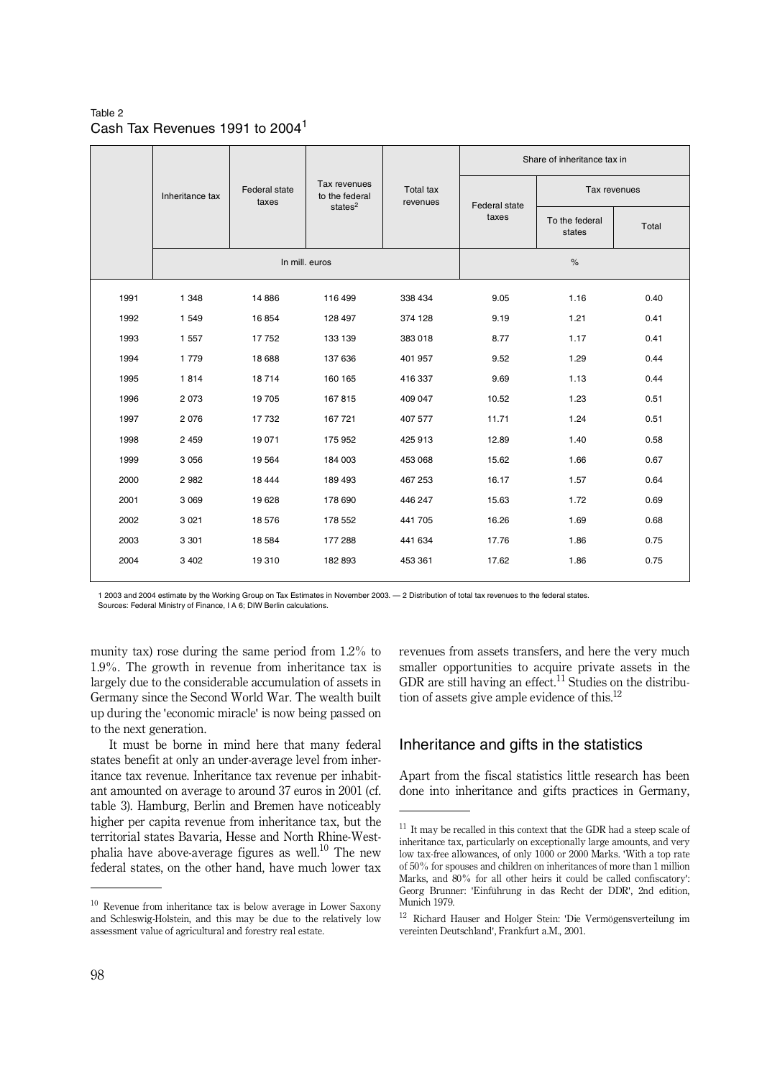Table 2 Cash Tax Revenues 1991 to 20041

|      |                 |                        |                                                         |               |       | Share of inheritance tax in |       |
|------|-----------------|------------------------|---------------------------------------------------------|---------------|-------|-----------------------------|-------|
|      | Inheritance tax | Federal state<br>taxes | Tax revenues<br>Total tax<br>to the federal<br>revenues | Federal state |       | Tax revenues                |       |
|      |                 | states $2$             |                                                         |               | taxes | To the federal<br>states    | Total |
|      |                 |                        | In mill. euros                                          |               |       | $\frac{9}{6}$               |       |
| 1991 | 1 3 4 8         | 14 8 86                | 116 499                                                 | 338 434       | 9.05  | 1.16                        | 0.40  |
| 1992 | 1 5 4 9         | 16854                  | 128 497                                                 | 374 128       | 9.19  | 1.21                        | 0.41  |
| 1993 | 1 5 5 7         | 17752                  | 133 139                                                 | 383018        | 8.77  | 1.17                        | 0.41  |
| 1994 | 1 7 7 9         | 18 688                 | 137 636                                                 | 401 957       | 9.52  | 1.29                        | 0.44  |
| 1995 | 1814            | 18714                  | 160 165                                                 | 416 337       | 9.69  | 1.13                        | 0.44  |
| 1996 | 2 0 7 3         | 19 705                 | 167815                                                  | 409 047       | 10.52 | 1.23                        | 0.51  |
| 1997 | 2076            | 17732                  | 167 721                                                 | 407 577       | 11.71 | 1.24                        | 0.51  |
| 1998 | 2 4 5 9         | 19 0 71                | 175 952                                                 | 425 913       | 12.89 | 1.40                        | 0.58  |
| 1999 | 3 0 5 6         | 19564                  | 184 003                                                 | 453 068       | 15.62 | 1.66                        | 0.67  |
| 2000 | 2982            | 18 4 44                | 189 493                                                 | 467 253       | 16.17 | 1.57                        | 0.64  |
| 2001 | 3 0 6 9         | 19628                  | 178 690                                                 | 446 247       | 15.63 | 1.72                        | 0.69  |
| 2002 | 3 0 2 1         | 18576                  | 178 552                                                 | 441 705       | 16.26 | 1.69                        | 0.68  |
| 2003 | 3 3 0 1         | 18 5 84                | 177 288                                                 | 441 634       | 17.76 | 1.86                        | 0.75  |
| 2004 | 3 4 0 2         | 19310                  | 182 893                                                 | 453 361       | 17.62 | 1.86                        | 0.75  |
|      |                 |                        |                                                         |               |       |                             |       |

1 2003 and 2004 estimate by the Working Group on Tax Estimates in November 2003. — 2 Distribution of total tax revenues to the federal states. Sources: Federal Ministry of Finance, I A 6; DIW Berlin calculations.

munity tax) rose during the same period from 1.2% to 1.9%. The growth in revenue from inheritance tax is largely due to the considerable accumulation of assets in Germany since the Second World War. The wealth built up during the 'economic miracle' is now being passed on to the next generation.

It must be borne in mind here that many federal states benefit at only an under-average level from inheritance tax revenue. Inheritance tax revenue per inhabitant amounted on average to around 37 euros in 2001 (cf. table 3). Hamburg, Berlin and Bremen have noticeably higher per capita revenue from inheritance tax, but the territorial states Bavaria, Hesse and North Rhine-Westphalia have above-average figures as well.<sup>10</sup> The new federal states, on the other hand, have much lower tax revenues from assets transfers, and here the very much smaller opportunities to acquire private assets in the GDR are still having an effect.<sup>11</sup> Studies on the distribution of assets give ample evidence of this.12

#### Inheritance and gifts in the statistics

Apart from the fiscal statistics little research has been done into inheritance and gifts practices in Germany,

<sup>10</sup> Revenue from inheritance tax is below average in Lower Saxony and Schleswig-Holstein, and this may be due to the relatively low assessment value of agricultural and forestry real estate.

 $^{11}$  It may be recalled in this context that the GDR had a steep scale of inheritance tax, particularly on exceptionally large amounts, and very low tax-free allowances, of only 1000 or 2000 Marks. 'With a top rate of 50% for spouses and children on inheritances of more than 1 million Marks, and 80% for all other heirs it could be called confiscatory': Georg Brunner: 'Einführung in das Recht der DDR', 2nd edition, Munich 1979.

<sup>12</sup> Richard Hauser and Holger Stein: 'Die Vermögensverteilung im vereinten Deutschland', Frankfurt a.M., 2001.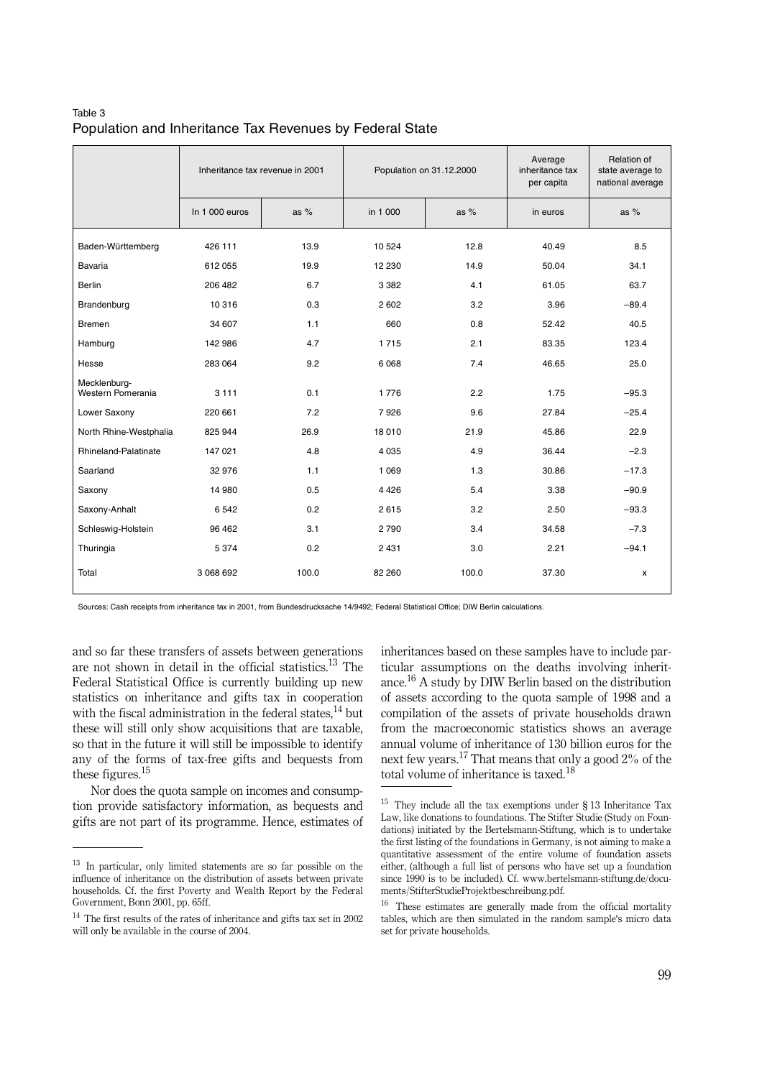| Table 3                                                  |  |  |  |
|----------------------------------------------------------|--|--|--|
| Population and Inheritance Tax Revenues by Federal State |  |  |  |

|                                   | Inheritance tax revenue in 2001 |        | Population on 31.12.2000 |        | Average<br>inheritance tax<br>per capita | Relation of<br>state average to<br>national average |
|-----------------------------------|---------------------------------|--------|--------------------------|--------|------------------------------------------|-----------------------------------------------------|
|                                   | In 1000 euros                   | as $%$ | in 1 000                 | as $%$ | in euros                                 | as $%$                                              |
| Baden-Württemberg                 | 426 111                         | 13.9   | 10 5 24                  | 12.8   | 40.49                                    | 8.5                                                 |
| Bavaria                           | 612 055                         | 19.9   | 12 2 30                  | 14.9   | 50.04                                    | 34.1                                                |
| <b>Berlin</b>                     | 206 482                         | 6.7    | 3 3 8 2                  | 4.1    | 61.05                                    | 63.7                                                |
| Brandenburg                       | 10 316                          | 0.3    | 2 6 0 2                  | 3.2    | 3.96                                     | $-89.4$                                             |
| Bremen                            | 34 607                          | 1.1    | 660                      | 0.8    | 52.42                                    | 40.5                                                |
| Hamburg                           | 142 986                         | 4.7    | 1715                     | 2.1    | 83.35                                    | 123.4                                               |
| Hesse                             | 283 064                         | 9.2    | 6068                     | 7.4    | 46.65                                    | 25.0                                                |
| Mecklenburg-<br>Western Pomerania | 3 1 1 1                         | 0.1    | 1776                     | 2.2    | 1.75                                     | $-95.3$                                             |
| Lower Saxony                      | 220 661                         | 7.2    | 7926                     | 9.6    | 27.84                                    | $-25.4$                                             |
| North Rhine-Westphalia            | 825 944                         | 26.9   | 18 010                   | 21.9   | 45.86                                    | 22.9                                                |
| Rhineland-Palatinate              | 147 021                         | 4.8    | 4 0 3 5                  | 4.9    | 36.44                                    | $-2.3$                                              |
| Saarland                          | 32 976                          | 1.1    | 1 0 6 9                  | 1.3    | 30.86                                    | $-17.3$                                             |
| Saxony                            | 14 980                          | 0.5    | 4426                     | 5.4    | 3.38                                     | $-90.9$                                             |
| Saxony-Anhalt                     | 6 5 4 2                         | 0.2    | 2615                     | 3.2    | 2.50                                     | $-93.3$                                             |
| Schleswig-Holstein                | 96 462                          | 3.1    | 2790                     | 3.4    | 34.58                                    | $-7.3$                                              |
| Thuringia                         | 5 3 7 4                         | 0.2    | 2 4 3 1                  | 3.0    | 2.21                                     | $-94.1$                                             |
| Total                             | 3 068 692                       | 100.0  | 82 260                   | 100.0  | 37.30                                    | $\pmb{\mathsf{x}}$                                  |

Sources: Cash receipts from inheritance tax in 2001, from Bundesdrucksache 14/9492; Federal Statistical Office; DIW Berlin calculations.

and so far these transfers of assets between generations are not shown in detail in the official statistics. $13$  The Federal Statistical Office is currently building up new statistics on inheritance and gifts tax in cooperation with the fiscal administration in the federal states.<sup>14</sup> but these will still only show acquisitions that are taxable, so that in the future it will still be impossible to identify any of the forms of tax-free gifts and bequests from these figures.<sup>15</sup>

Nor does the quota sample on incomes and consumption provide satisfactory information, as bequests and gifts are not part of its programme. Hence, estimates of inheritances based on these samples have to include particular assumptions on the deaths involving inheritance.16 A study by DIW Berlin based on the distribution of assets according to the quota sample of 1998 and a compilation of the assets of private households drawn from the macroeconomic statistics shows an average annual volume of inheritance of 130 billion euros for the next few years.<sup>17</sup> That means that only a good  $2\%$  of the total volume of inheritance is taxed.<sup>18</sup>

<sup>&</sup>lt;sup>13</sup> In particular, only limited statements are so far possible on the influence of inheritance on the distribution of assets between private households. Cf. the first Poverty and Wealth Report by the Federal Government, Bonn 2001, pp. 65ff.

 $^{14}$  The first results of the rates of inheritance and gifts tax set in 2002 will only be available in the course of 2004.

<sup>15</sup> They include all the tax exemptions under § 13 Inheritance Tax Law, like donations to foundations. The Stifter Studie (Study on Foundations) initiated by the Bertelsmann-Stiftung, which is to undertake the first listing of the foundations in Germany, is not aiming to make a quantitative assessment of the entire volume of foundation assets either, (although a full list of persons who have set up a foundation since 1990 is to be included). Cf. www.bertelsmann-stiftung.de/documents/StifterStudieProjektbeschreibung.pdf.

<sup>16</sup> These estimates are generally made from the official mortality tables, which are then simulated in the random sample's micro data set for private households.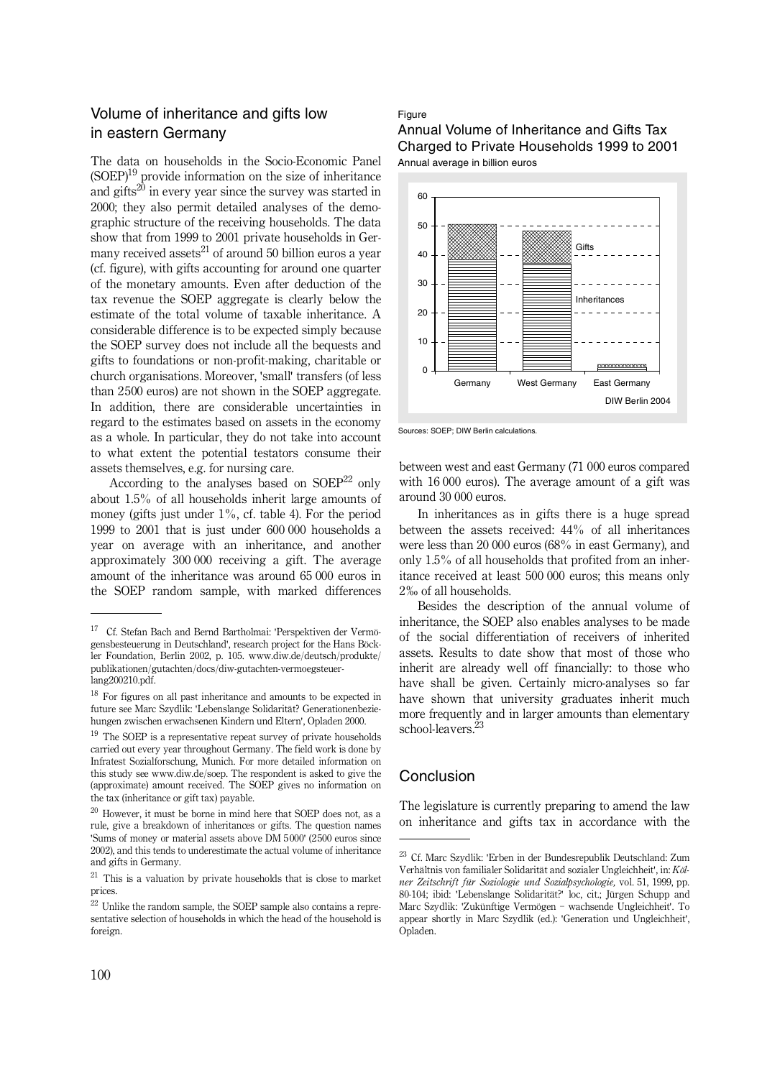#### Volume of inheritance and gifts low in eastern Germany

The data on households in the Socio-Economic Panel  $(SOEP)^{19}$  provide information on the size of inheritance and gifts<sup>20</sup> in every year since the survey was started in 2000; they also permit detailed analyses of the demographic structure of the receiving households. The data show that from 1999 to 2001 private households in Germany received assets<sup>21</sup> of around 50 billion euros a year (cf. figure), with gifts accounting for around one quarter of the monetary amounts. Even after deduction of the tax revenue the SOEP aggregate is clearly below the estimate of the total volume of taxable inheritance. A considerable difference is to be expected simply because the SOEP survey does not include all the bequests and gifts to foundations or non-profit-making, charitable or church organisations. Moreover, 'small' transfers (of less than 2500 euros) are not shown in the SOEP aggregate. In addition, there are considerable uncertainties in regard to the estimates based on assets in the economy as a whole. In particular, they do not take into account to what extent the potential testators consume their assets themselves, e.g. for nursing care.

According to the analyses based on  $S O E P^{22}$  only about 1.5% of all households inherit large amounts of money (gifts just under 1%, cf. table 4). For the period 1999 to 2001 that is just under 600 000 households a year on average with an inheritance, and another approximately 300 000 receiving a gift. The average amount of the inheritance was around 65 000 euros in the SOEP random sample, with marked differences

#### Figure

Annual Volume of Inheritance and Gifts Tax Charged to Private Households 1999 to 2001 Annual average in billion euros



Sources: SOEP; DIW Berlin calculations.

between west and east Germany (71 000 euros compared with 16 000 euros). The average amount of a gift was around 30 000 euros.

In inheritances as in gifts there is a huge spread between the assets received: 44% of all inheritances were less than 20 000 euros (68% in east Germany), and only 1.5% of all households that profited from an inheritance received at least 500 000 euros; this means only 2‰ of all households.

Besides the description of the annual volume of inheritance, the SOEP also enables analyses to be made of the social differentiation of receivers of inherited assets. Results to date show that most of those who inherit are already well off financially: to those who have shall be given. Certainly micro-analyses so far have shown that university graduates inherit much more frequently and in larger amounts than elementary school-leavers.23

#### Conclusion

The legislature is currently preparing to amend the law on inheritance and gifts tax in accordance with the

<sup>17</sup> Cf. Stefan Bach and Bernd Bartholmai: 'Perspektiven der Vermögensbesteuerung in Deutschland', research project for the Hans Böckler Foundation, Berlin 2002, p. 105. www.diw.de/deutsch/produkte/ publikationen/gutachten/docs/diw-gutachten-vermoegsteuerlang200210.pdf.

<sup>&</sup>lt;sup>18</sup> For figures on all past inheritance and amounts to be expected in future see Marc Szydlik: 'Lebenslange Solidarität? Generationenbeziehungen zwischen erwachsenen Kindern und Eltern', Opladen 2000.

 $19$  The SOEP is a representative repeat survey of private households carried out every year throughout Germany. The field work is done by Infratest Sozialforschung, Munich. For more detailed information on this study see www.diw.de/soep. The respondent is asked to give the (approximate) amount received. The SOEP gives no information on the tax (inheritance or gift tax) payable.

 $20$  However, it must be borne in mind here that SOEP does not, as a rule, give a breakdown of inheritances or gifts. The question names 'Sums of money or material assets above DM 5000' (2500 euros since 2002), and this tends to underestimate the actual volume of inheritance and gifts in Germany.

<sup>21</sup> This is a valuation by private households that is close to market prices.

<sup>22</sup> Unlike the random sample, the SOEP sample also contains a representative selection of households in which the head of the household is foreign.

<sup>23</sup> Cf. Marc Szydlik: 'Erben in der Bundesrepublik Deutschland: Zum Verhältnis von familialer Solidarität and sozialer Ungleichheit', in: *Kölner Zeitschrift für Soziologie und Sozialpsychologie,* vol. 51, 1999, pp. 80-104; ibid: 'Lebenslange Solidarität?' loc, cit.; Jürgen Schupp and Marc Szydlik: 'Zukünftige Vermögen - wachsende Ungleichheit'. To appear shortly in Marc Szydlik (ed.): 'Generation und Ungleichheit', Opladen.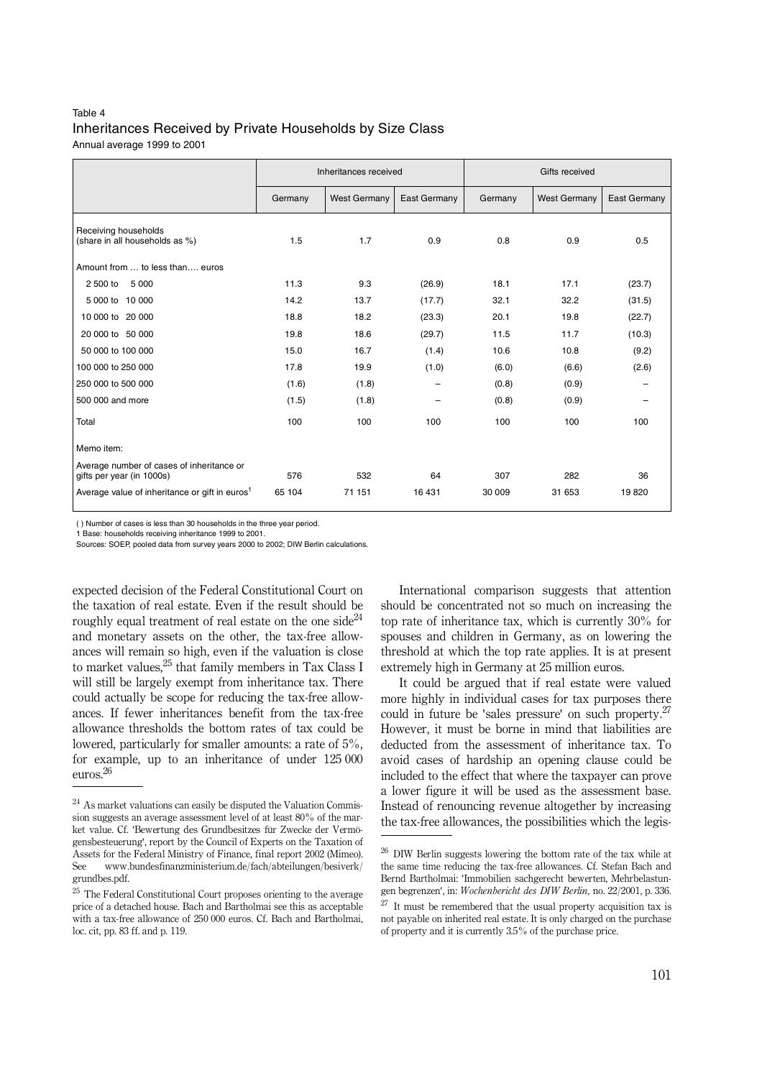#### Table 4 Inheritances Received by Private Households by Size Class Annual average 1999 to 2001

|                                                                        | Inheritances received |                     |                          | Gifts received |                     |                 |  |
|------------------------------------------------------------------------|-----------------------|---------------------|--------------------------|----------------|---------------------|-----------------|--|
|                                                                        | Germany               | <b>West Germany</b> | East Germany             | Germany        | <b>West Germany</b> | East Germany    |  |
| Receiving households<br>(share in all households as %)                 | 1.5                   | 1.7                 | 0.9                      | 0.8            | 0.9                 | 0.5             |  |
| Amount from  to less than euros                                        |                       |                     |                          |                |                     |                 |  |
| 5 0 0 0<br>2 500 to                                                    | 11.3                  | 9.3                 | (26.9)                   | 18.1           | 17.1                | (23.7)          |  |
| 5 000 to 10 000                                                        | 14.2                  | 13.7                | (17.7)                   | 32.1           | 32.2                | (31.5)          |  |
| 10 000 to 20 000                                                       | 18.8                  | 18.2                | (23.3)                   | 20.1           | 19.8                | (22.7)          |  |
| 20 000 to 50 000                                                       | 19.8                  | 18.6                | (29.7)                   | 11.5           | 11.7                | (10.3)          |  |
| 50 000 to 100 000                                                      | 15.0                  | 16.7                | (1.4)                    | 10.6           | 10.8                | (9.2)           |  |
| 100 000 to 250 000                                                     | 17.8                  | 19.9                | (1.0)                    | (6.0)          | (6.6)               | (2.6)           |  |
| 250 000 to 500 000                                                     | (1.6)                 | (1.8)               | -                        | (0.8)          | (0.9)               | -               |  |
| 500 000 and more                                                       | (1.5)                 | (1.8)               | $\overline{\phantom{0}}$ | (0.8)          | (0.9)               | $\qquad \qquad$ |  |
| Total                                                                  | 100                   | 100                 | 100                      | 100            | 100                 | 100             |  |
| Memo item:                                                             |                       |                     |                          |                |                     |                 |  |
| Average number of cases of inheritance or<br>gifts per year (in 1000s) | 576                   | 532                 | 64                       | 307            | 282                 | 36              |  |
| Average value of inheritance or gift in euros <sup>1</sup>             | 65 104                | 71 151              | 16 431                   | 30 009         | 31 653              | 19820           |  |

( ) Number of cases is less than 30 households in the three year period.

1 Base: households receiving inheritance 1999 to 2001.

Sources: SOEP, pooled data from survey years 2000 to 2002; DIW Berlin calculations.

expected decision of the Federal Constitutional Court on the taxation of real estate. Even if the result should be roughly equal treatment of real estate on the one side<sup>24</sup> and monetary assets on the other, the tax-free allowances will remain so high, even if the valuation is close to market values,25 that family members in Tax Class I will still be largely exempt from inheritance tax. There could actually be scope for reducing the tax-free allowances. If fewer inheritances benefit from the tax-free allowance thresholds the bottom rates of tax could be lowered, particularly for smaller amounts: a rate of 5%, for example, up to an inheritance of under 125 000 euros.26

International comparison suggests that attention should be concentrated not so much on increasing the top rate of inheritance tax, which is currently 30% for spouses and children in Germany, as on lowering the threshold at which the top rate applies. It is at present extremely high in Germany at 25 million euros.

It could be argued that if real estate were valued more highly in individual cases for tax purposes there could in future be 'sales pressure' on such property.<sup>27</sup> However, it must be borne in mind that liabilities are deducted from the assessment of inheritance tax. To avoid cases of hardship an opening clause could be included to the effect that where the taxpayer can prove a lower figure it will be used as the assessment base. Instead of renouncing revenue altogether by increasing the tax-free allowances, the possibilities which the legis-

<sup>24</sup> As market valuations can easily be disputed the Valuation Commission suggests an average assessment level of at least 80% of the market value. Cf. 'Bewertung des Grundbesitzes für Zwecke der Vermögensbesteuerung', report by the Council of Experts on the Taxation of Assets for the Federal Ministry of Finance, final report 2002 (Mimeo). See www.bundesfinanzministerium.de/fach/abteilungen/besiverk/ grundbes.pdf.

<sup>25</sup> The Federal Constitutional Court proposes orienting to the average price of a detached house. Bach and Bartholmai see this as acceptable with a tax-free allowance of 250 000 euros. Cf. Bach and Bartholmai, loc. cit, pp. 83 ff. and p. 119.

 $^{26}$  DIW Berlin suggests lowering the bottom rate of the tax while at the same time reducing the tax-free allowances. Cf. Stefan Bach and Bernd Bartholmai: 'Immobilien sachgerecht bewerten, Mehrbelastungen begrenzen', in: *Wochenbericht des DIW Berlin,* no. 22/2001, p. 336.

 $27$  It must be remembered that the usual property acquisition tax is not payable on inherited real estate. It is only charged on the purchase of property and it is currently 3.5% of the purchase price.